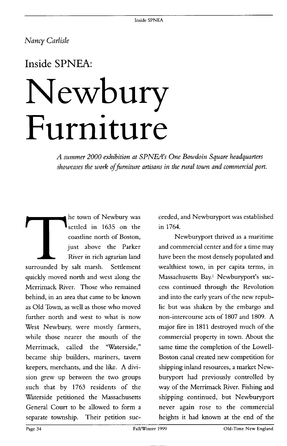### **Nancy Carlisle**

## **Inside SPNEA:**

# **Newbury Furniture**

**A summer 2000 exhibition at SPNEAs ' One Bowdoin Square headquarters**  showcases the work of furniture artisans in the rural town and commercial port.

**The town of Newbury was<br>
settled in 1635 on the<br>
coastline north of Boston,<br>
just above the Parker<br>
River in rich agrarian land<br>
surrounded by salt marsh. Settlement he town of Newbury was settled in 1635 on the coastline north of Boston, just above the Parker River in rich agrarian land quickly moved north and west along the Merrimack River. Those who remained behind, in an area that came to be known as Old Town, as well as those who moved further north and west to what is now West Newbury, were mostly farmers, while those nearer the mouth of the Merrimack, called the "Waterside," became ship builders, mariners, tavern keepers, merchants, and the like. A division grew up between the two groups such that by 1763 residents of the Waterside petitioned the Massachusetts General Court to be allowed to form a separate township. Their petition suc-** **ceeded, and Newburyport was established in 1764.** 

**Newburyport thrived as a maritime and commercial center and for a time may have been the most densely populated and wealthiest town, in per capita terms, in Massachusetts Bay.1 Newburyport's success continued through the Revolution and into the early years of the new republic but was shaken by the embargo and non-intercourse acts of 1807 and 1809. A major fire in 1811 destroyed much of the commercial property in town. About the same time the completion of the Lowell-Boston canal created new competition for shipping inland resources, a market Newburyport had previously controlled by way of the Merrimack River. Fishing and shipping continued, but Newburyport never again rose to the commercial heights it had known at the end of the**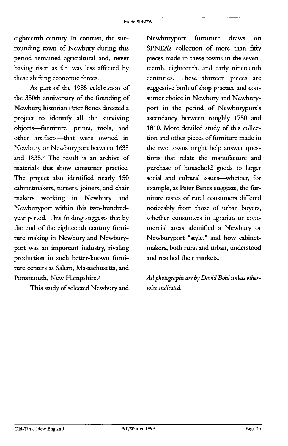**eighteenth century. In contrast, the surrounding town of Newbury during this period remained agricultural and, never having risen as far, was less affected by these shifting economic forces.** 

**As part of the 1985 celebration of the 350th anniversary of the founding of Newbmy, historian Peter Benes directed a project to identify all the surviving objects-furniture, prints, tools, and other artifacts-that were owned in Newbury or Newburyport between 1635 and 1835.2 The result is an archive of materials that show consumer practice. The project also identified nearly 150 cabinetmakers, turners, joiners, and chair makers working in Newbury and Newburyport within this two-hundredyear period. This finding suggests that by the end of the eighteenth century furniture making in Newbury and Newburyport was an important industry, rivaling production in such better-known furniture centers as Salem, Massachusetts, and Portsmouth, New Hampshire.3** 

**This study of selected Newbury and** 

**Newburyport furniture draws on SPNEA's collection of more than fifty pieces made in these towns in the seventeenth, eighteenth, and early nineteenth centuries. These thirteen pieces are suggestive both of shop practice and consumer choice in Newbury and Newburyport in the period of Newburyport's ascendancy between roughly 1750 and 1810. More detailed study of this collection and other pieces of furniture made in the two towns might help answer questions that relate the manufacture and purchase of household goods to larger social and cultural issues-whether, for example, as Peter Benes suggests, the furniture tastes of rural consumers differed noticeably from those of urban buyers, whether consumers in agrarian or commercial areas identified a Newbury or Newburyport "style," and how cabinetmakers, both rural and urban, understood and reached their markets.** 

All photographs are by David Bohl unless other**wise indicated.**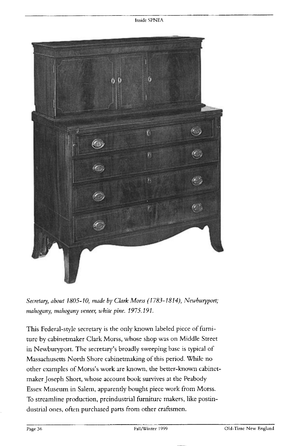

Secretary, about 1805-10, made by Clark Morss (1783-1814), Newburyport; mahogany, mahogany veneer, white pine. 1975.191.

**This Federal-style secretary is the only known labeled piece of furniture by cabinetmaker Clark Morss, whose shop was on Middle Street in Newburyport. The secretary's broadly sweeping base is typical of Massachusetts North Shore cabinetmaking of this period. While no other examples of Morss's work are known, the better-known cabinctmaker Joseph Short, whose account book survives at the Peabody Essex Museum in Salem, apparently bought piece work from Morss. To streamline production, preindustrial furniture makers, like postindustrial ones, often purchased parts from other craftsmen.**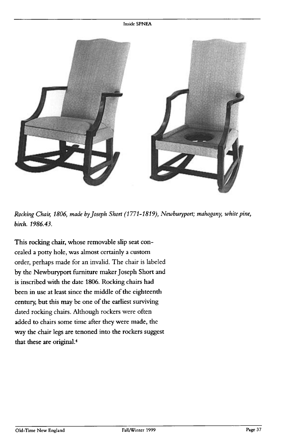#### **Inside SPNFA**



Rocking Chair, 1806, made by Joseph Short (1771-1819), Newburyport; mahogany, white pine, **birch. 1986.43.** 

**This rocking chair, whose removable slip seat concealed a potty hole, was almost certainly a custom order, perhaps made for an invalid. The chair is labeled by the Newburyport furniture maker Joseph Short and is inscribed with the date 1806. Rocking chairs had been in use at least since the middle of the eighteenth century, but this may be one of the earliest surviving dated rocking chairs. Although rockers were often added to chairs some time after they were made, the way the chair legs are tenoned into the rockers suggest that these are original.4**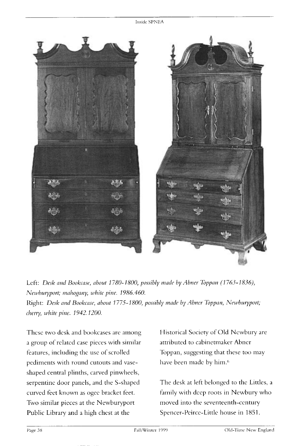

Left: Desk and Bookcase, about 1780-1800, possibly made by Abner Toppan (1763-1836), **Newburyport; mahogarzy, white pine. 1986.460.**  Right: Desk and Bookcase, about 1775-1800, possibly made by Abner Toppan, Newburyport;

**cherry, white pine. 1942.1200.** 

**Thcsc two desk and bookcases are among a group of related case pieces with similar**  features, including the use of scrolled **pediments with round cutouts and vaseshaped central plinths, carved pinwheels, serpentine door panels, and the S-shaped curved feet known as ogcc bracket feet. Two similar pieces at the Newburyport Public Library and a high chest at the** 

**Historical Society of Old Ncwbury are attributed to cabinetmaker Abner Toppan, suggesting that these too may have been made by him.6** 

**The desk at left belonged to the Littles, a family with deep roots in Newbury who moved into the seventeenth-century Spencer-Pcircc-Little house in 1851.**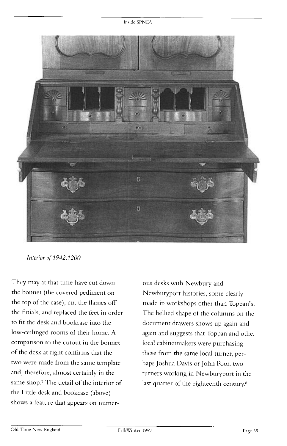

**Interior of 1942.1200** 

**They may at that time have cut down the bonnet (the covered pediment on the top of the case), cut the flames off the finials, and replaced the feet in order to fit the desk and bookcase into the low-ceilinged rooms of their home. A comparison to the cutout in the bonnet of the desk at right confirms that the two were made from the same template and, therefore, almost certainly in the same shop.7 The detail of the interior of the Little desk and bookcase (above) shows a feature that appears on numer-**

**ous desks with Newbury and Newburyport histories, some clearly made in workshops other than Toppan's. The bellied shape of the columns on the document drawers shows up again and again and suggests that Toppan and other local cabinetmakers were purchasing these from the same local turner, perhaps Joshua Davis or John Poor, two turners working in Newburyport in the**  last quarter of the eighteenth century.<sup>8</sup>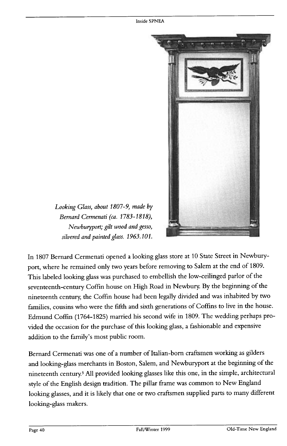

**Looking Glass, about 1807-9, made by Bernard Cermenati (ca. 1783-1818), Newbutypott; gilt wood and gesso, silvered and painted glass. 1963.101.** 

**In 1807 Bernard Cermenati opened a looking glass store at 10 State Street in Newburyport, where he remained only two years before removing to Salem at the end of 1809. This labeled looking glass was purchased to embellish the low-ceilinged parlor of the seventeenth-century Coffin house on High Road in Newbury. By the beginning of the nineteenth century, the Coffin house had been legally divided and was inhabited by two families, cousins who were the fifth and sixth generations of Coffins to live in the house. Edmund Coffin (1764-1825) married his second wife in 1809. The wedding perhaps provided the occasion for the purchase of this looking glass, a fashionable and expensive addition to the family's most public room.** 

**Bernard Cermenati was one of a number of Italian-born craftsmen working as gilders and looking-glass merchants in Boston, Salem, and Newburyport at the beginning of the nineteenth century.5 All provided looking glasses like this one, in the simple, architectural style of the English design tradition. The pillar frame was common to New England looking glasses, and it is likely that one or two craftsmen supplied parts to many different looking-glass makers.**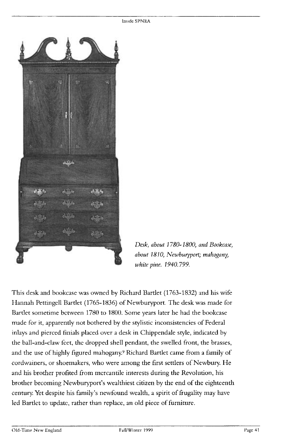

**Desk, about 3 780- 1800, and Bookcase, about 7810, Newburyport; mahogany, white pine. 1940.799.** 

**This desk and bookcase was owned by Richard Bartlet (1763-1832) and his wife Hannah Pettingell Bartlet (1765-1836) of Newburyport. The desk was made for Bartlet sometime between 1780 to 1800. Some years later he had the bookcase made for it, apparently not bothered by the stylistic inconsistencies of Federal inlays and pierced finials placed over a desk in Chippendale style, indicated by the ball-and-claw feet, the dropped shell pendant, the swelled front, the brasses, and the use of highly figured mahogany.9 Richard Bartlet came from a family of cordwainers, or shoemakers, who were among the first settlers of Newbury. He and his brother profited from mercantile interests during the Revolution, his brother becoming Newburyport's wealthiest citizen by the end of the eighteenth century. Yet despite his family's newfound wealth, a spirit of frugality may have**  led Bartlet to update, rather than replace, an old piece of furniture.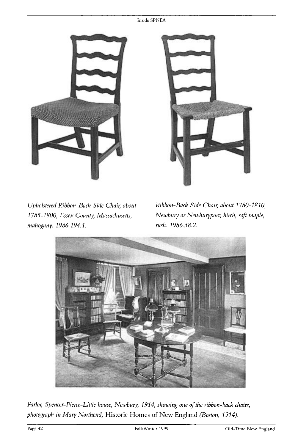#### **Inside SPNEA**





**Upholstered Ribbon-Back Side Chair; about 1785- 1800, Essex County, Massachusetts; mahogany. 1986.194.1.** 

**Ribbon-Back Side Chair, about 1780-1810, Newbury or Newburyport; birch, soft maple, rush. 1986.38.2.** 



Parlor, Spencer-Pierce-Little house, Newbury, 1914, showing one of the ribbon-back chairs, **photograph in Mary Northend, Historic Homes of New England (Boston, 1914).**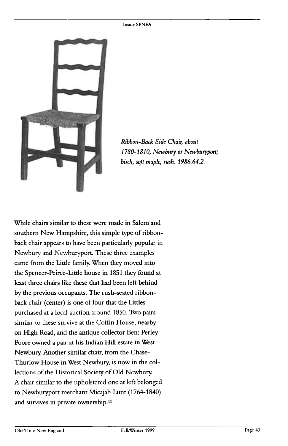

**Ribbon-Back Side Chair, about 1780- 1810, Newbury or Newburyport; birch, soft maple, rush. 1986.64.2.** 

**While chairs similar to these were made in Salem and southern New Hampshire, this simple type of ribbonback chair appears to have been particularly popular in Newbury and Newburyport. These three examples came from the Little family. When they moved into the Spencer-Peirce-Little house in 1851 they found at least three chairs like these that had been left behind by the previous occupants. The rush-seated ribbonback chair (center) is one of four that the Littles purchased at a local auction around 1850. Two pairs similar to these survive at the Coffin House, nearby on High Road, and the antique collector Ben: Perley Poore owned a pair at his Indian Hill estate in West Newbury. Another similar chair, from the Chase-Thurlow House in West Newbury, is now in the collections of the Historical Society of Old Newbury. A chair similar to the upholstered one at left belonged to Newburyport merchant Micajah Lunt (1764-1840) and survives in private ownership."**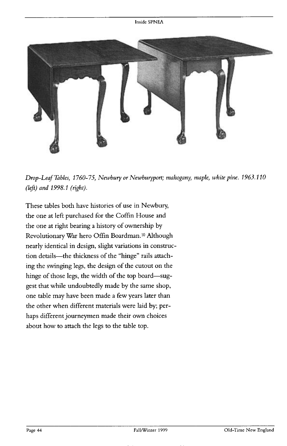

**Drop-Leaf Tables, 1760-75, Newbuty or Newburyport; mahogany, maple, white pine. 1963.110 (left) and 1998.1 (right).** 

**These tables both have histories of use in Newbury, the one at left purchased for the Coffin House and the one at right bearing a history of ownership by Revolutionary War hero Offm Boardman. Although nearly identical in design, slight variations in construction details-the thickness of the "hinge" rails attaching the swinging legs, the design of the cutout on the**  hinge of those legs, the width of the top board-sug**gest that while undoubtedly made by the same shop, one table may have been made a few years later than the other when different materials were laid by; perhaps different journeymen made their own choices about how to attach the legs to the table top.**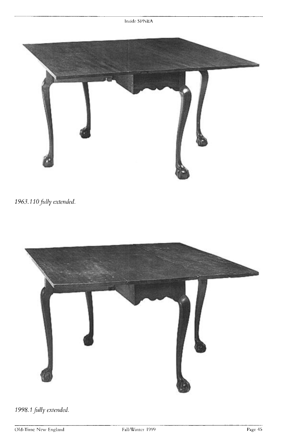

1963.110 fully extended.



**1998. ? fully extended**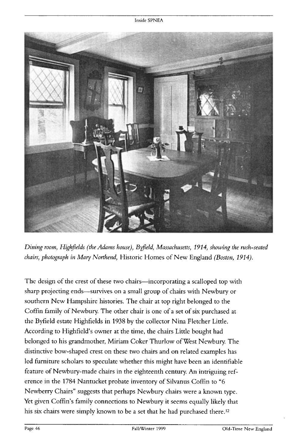

Dining room, Highfields (the Adams house), Byfield, Massachusetts, 1914, showing the rush-seated **chairs, photograph in Mary Northend, Historic Homes of New England (Boston, 2914).** 

**The design of the crest of these two chairs-incorporating a scalloped top with**  sharp projecting ends—survives on a small group of chairs with Newbury or **southern New Hampshire histories. The chair at top right belonged to the Coffin family of Newbury. The other chair is one of a set of six purchased at the Byfield estate Highfields in 1938 by the collector Nina Fletcher Little. According to Highfield's owner at the time, the chairs Little bought had belonged to his grandmother, Miriam Coker Thurlow of West Newbury. The distinctive bow-shaped crest on these two chairs and on related examples has led furniture scholars to speculate whether this might have been an identifiable feature of Newbury-made chairs in the eighteenth century. An intriguing reference in the 1784 Nantucket probate inventory of Silvanus Coffin to "6 Newberry Chairs" suggests that perhaps Newbury chairs were a known type. Yet given Coffin's family connections to Newbury it seems equally likely that his six chairs were simply known to be a set that he had purchased there.12**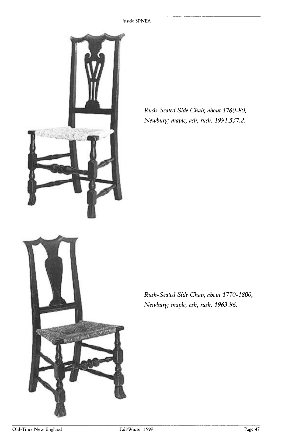

**Rush-Seated Side Chair; about 1760-80, Newbury; maple, ash, rush. 1991.537.2.** 

**Rush-Seated Side Chair; about 1770- 1800, Newbury; maple, ash, rush. 1963.96.**